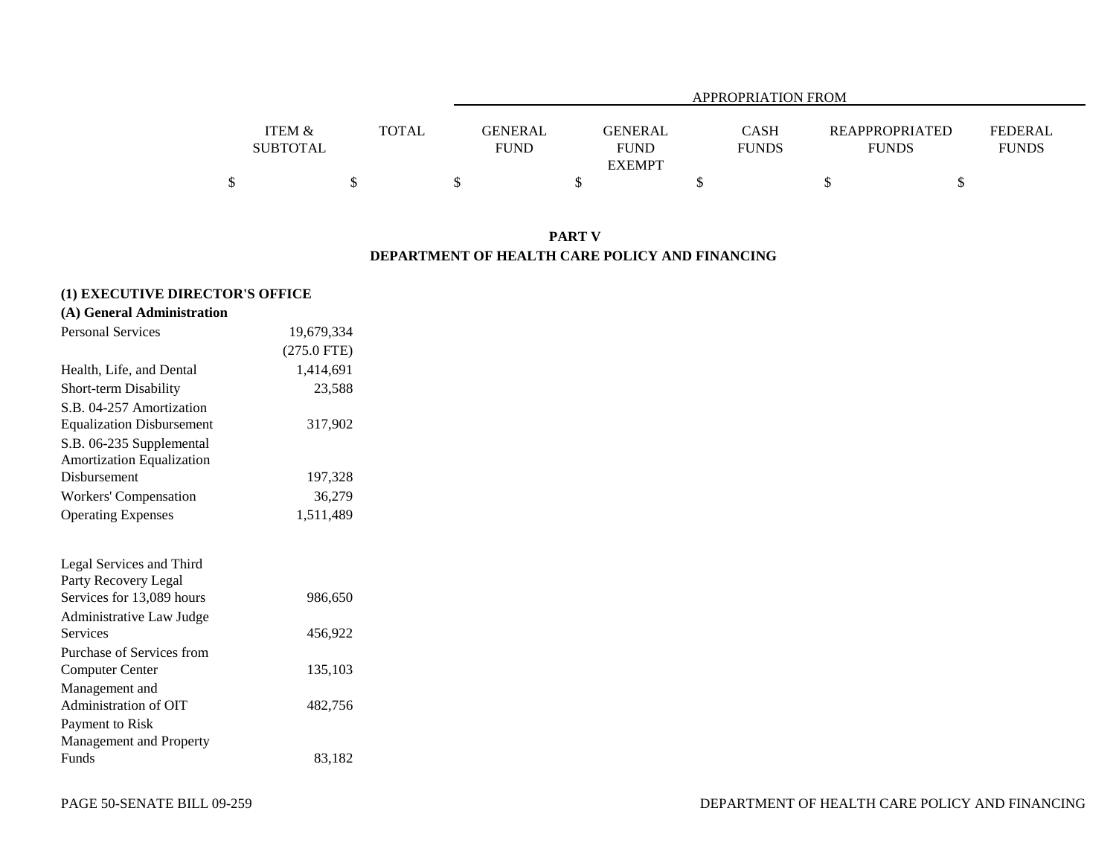|                                      |              |                               | <b>APPROPRIATION FROM</b>                      |                      |                                |                                |  |  |  |  |  |  |  |  |
|--------------------------------------|--------------|-------------------------------|------------------------------------------------|----------------------|--------------------------------|--------------------------------|--|--|--|--|--|--|--|--|
| <b>ITEM &amp;</b><br><b>SUBTOTAL</b> | <b>TOTAL</b> | <b>GENERAL</b><br><b>FUND</b> | <b>GENERAL</b><br><b>FUND</b><br><b>EXEMPT</b> | CASH<br><b>FUNDS</b> | REAPPROPRIATED<br><b>FUNDS</b> | <b>FEDERAL</b><br><b>FUNDS</b> |  |  |  |  |  |  |  |  |
|                                      |              |                               |                                                |                      |                                |                                |  |  |  |  |  |  |  |  |

## **PART V DEPARTMENT OF HEALTH CARE POLICY AND FINANCING**

# **(1) EXECUTIVE DIRECTOR'S OFFICE**

| <b>Personal Services</b>         | 19,679,334    |
|----------------------------------|---------------|
|                                  | $(275.0$ FTE) |
| Health, Life, and Dental         | 1,414,691     |
| <b>Short-term Disability</b>     | 23,588        |
| S.B. 04-257 Amortization         |               |
| <b>Equalization Disbursement</b> | 317,902       |
| S.B. 06-235 Supplemental         |               |
| <b>Amortization Equalization</b> |               |
| Disbursement                     | 197,328       |
| Workers' Compensation            | 36,279        |
| <b>Operating Expenses</b>        | 1,511,489     |
|                                  |               |
| Legal Services and Third         |               |
| Party Recovery Legal             |               |
| Services for 13,089 hours        | 986,650       |
| Administrative Law Judge         |               |
| Services                         | 456,922       |
| Purchase of Services from        |               |
| <b>Computer Center</b>           | 135,103       |
| Management and                   |               |
| Administration of OIT            | 482,756       |
| Payment to Risk                  |               |
| Management and Property          |               |
| Funds                            | 83,182        |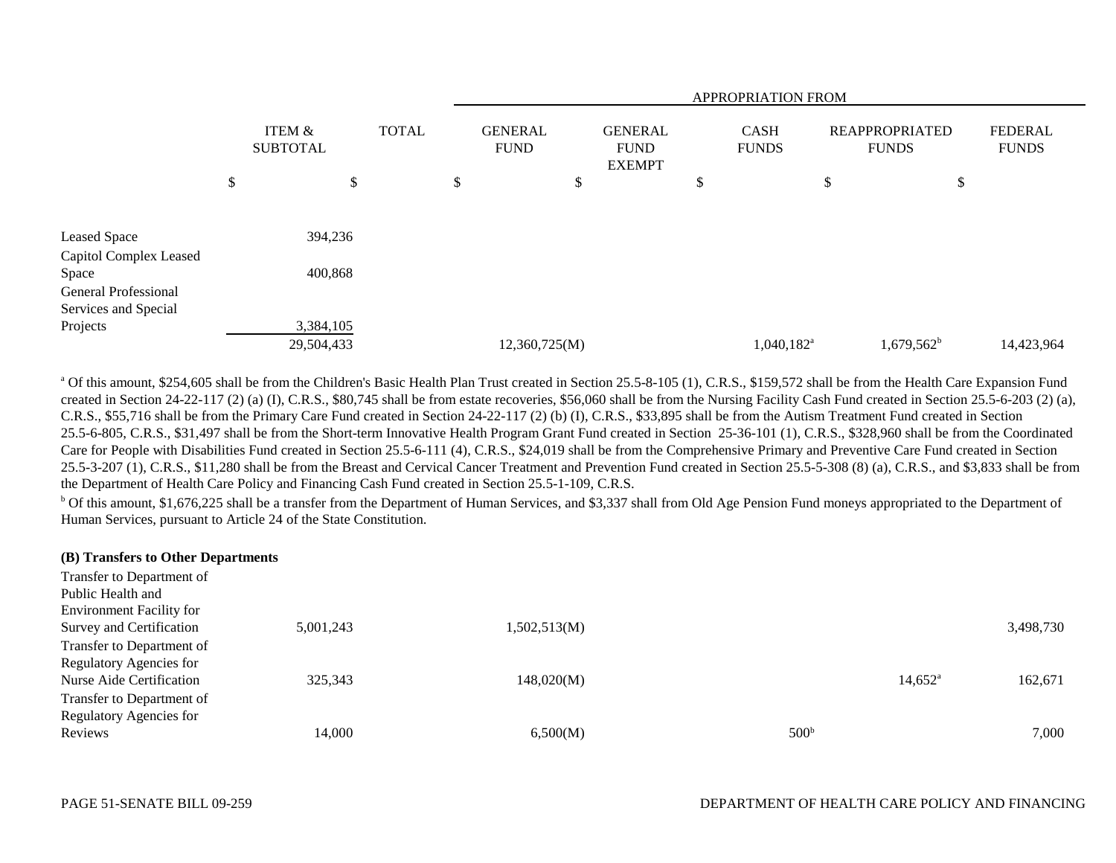|                                                     |                           |              | APPROPRIATION FROM            |   |                                                |    |                             |    |                                       |                                |  |  |  |  |
|-----------------------------------------------------|---------------------------|--------------|-------------------------------|---|------------------------------------------------|----|-----------------------------|----|---------------------------------------|--------------------------------|--|--|--|--|
|                                                     | ITEM &<br><b>SUBTOTAL</b> | <b>TOTAL</b> | <b>GENERAL</b><br><b>FUND</b> |   | <b>GENERAL</b><br><b>FUND</b><br><b>EXEMPT</b> |    | <b>CASH</b><br><b>FUNDS</b> |    | <b>REAPPROPRIATED</b><br><b>FUNDS</b> | <b>FEDERAL</b><br><b>FUNDS</b> |  |  |  |  |
|                                                     | \$<br>\$                  |              | \$                            | P |                                                | \$ |                             | \$ | \$                                    |                                |  |  |  |  |
| <b>Leased Space</b>                                 | 394,236                   |              |                               |   |                                                |    |                             |    |                                       |                                |  |  |  |  |
| Capitol Complex Leased<br>Space                     | 400,868                   |              |                               |   |                                                |    |                             |    |                                       |                                |  |  |  |  |
| <b>General Professional</b><br>Services and Special |                           |              |                               |   |                                                |    |                             |    |                                       |                                |  |  |  |  |
| Projects                                            | 3,384,105                 |              |                               |   |                                                |    |                             |    |                                       |                                |  |  |  |  |
|                                                     | 29,504,433                |              | 12,360,725(M)                 |   |                                                |    | 1,040,182 <sup>a</sup>      |    | $1,679,562^b$                         | 14,423,964                     |  |  |  |  |

<sup>a</sup> Of this amount, \$254,605 shall be from the Children's Basic Health Plan Trust created in Section 25.5-8-105 (1), C.R.S., \$159,572 shall be from the Health Care Expansion Fund created in Section 24-22-117 (2) (a) (I), C.R.S., \$80,745 shall be from estate recoveries, \$56,060 shall be from the Nursing Facility Cash Fund created in Section 25.5-6-203 (2) (a), C.R.S., \$55,716 shall be from the Primary Care Fund created in Section 24-22-117 (2) (b) (I), C.R.S., \$33,895 shall be from the Autism Treatment Fund created in Section 25.5-6-805, C.R.S., \$31,497 shall be from the Short-term Innovative Health Program Grant Fund created in Section 25-36-101 (1), C.R.S., \$328,960 shall be from the Coordinated Care for People with Disabilities Fund created in Section 25.5-6-111 (4), C.R.S., \$24,019 shall be from the Comprehensive Primary and Preventive Care Fund created in Section 25.5-3-207 (1), C.R.S., \$11,280 shall be from the Breast and Cervical Cancer Treatment and Prevention Fund created in Section 25.5-5-308 (8) (a), C.R.S., and \$3,833 shall be from the Department of Health Care Policy and Financing Cash Fund created in Section 25.5-1-109, C.R.S.

<sup>b</sup> Of this amount, \$1,676,225 shall be a transfer from the Department of Human Services, and \$3,337 shall from Old Age Pension Fund moneys appropriated to the Department of Human Services, pursuant to Article 24 of the State Constitution.

| (B) Transfers to Other Departments |           |              |                  |                  |           |
|------------------------------------|-----------|--------------|------------------|------------------|-----------|
| Transfer to Department of          |           |              |                  |                  |           |
| Public Health and                  |           |              |                  |                  |           |
| <b>Environment Facility for</b>    |           |              |                  |                  |           |
| Survey and Certification           | 5,001,243 | 1,502,513(M) |                  |                  | 3,498,730 |
| Transfer to Department of          |           |              |                  |                  |           |
| Regulatory Agencies for            |           |              |                  |                  |           |
| Nurse Aide Certification           | 325,343   | 148,020(M)   |                  | $14.652^{\circ}$ | 162,671   |
| Transfer to Department of          |           |              |                  |                  |           |
| Regulatory Agencies for            |           |              |                  |                  |           |
| Reviews                            | 14.000    | 6,500(M)     | 500 <sup>b</sup> |                  | 7.000     |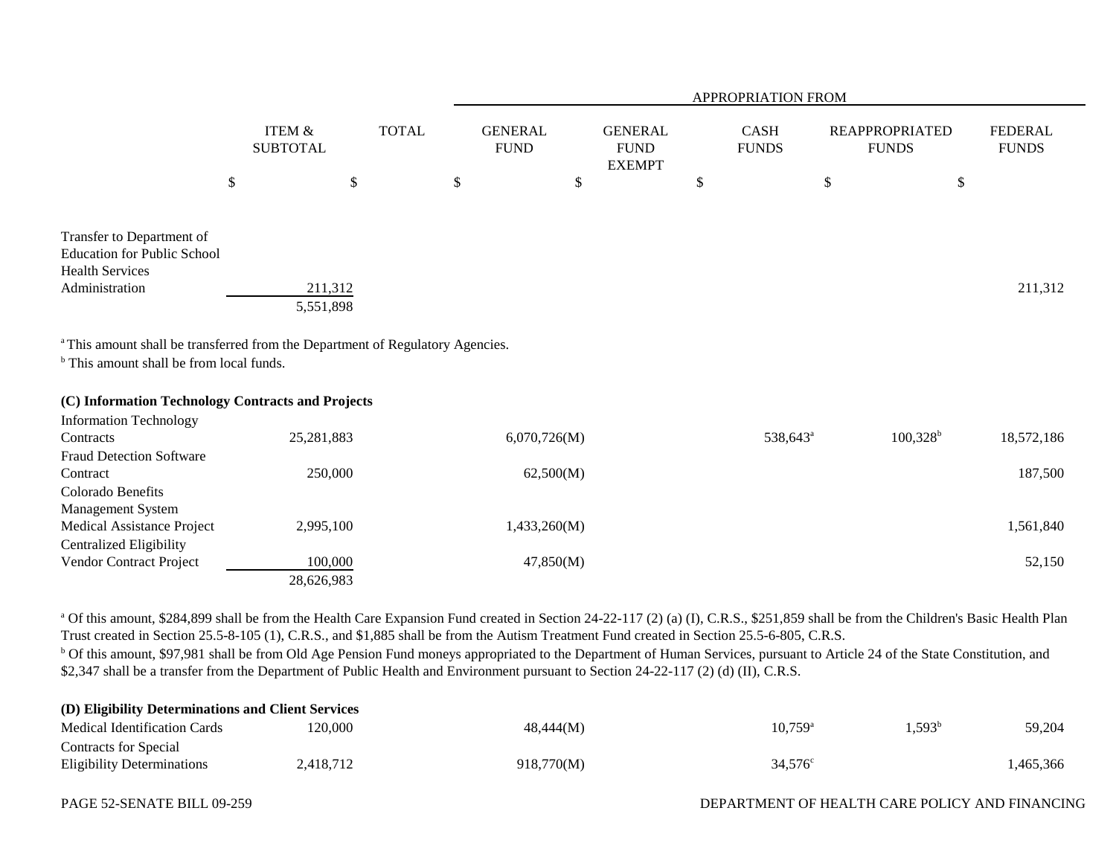|                                                                                                                                                                                                                                                                 |                                      |                              |                                     |                                                      | APPROPRIATION FROM                |                                                   |                                |
|-----------------------------------------------------------------------------------------------------------------------------------------------------------------------------------------------------------------------------------------------------------------|--------------------------------------|------------------------------|-------------------------------------|------------------------------------------------------|-----------------------------------|---------------------------------------------------|--------------------------------|
| $\boldsymbol{\mathsf{S}}$                                                                                                                                                                                                                                       | <b>ITEM &amp;</b><br><b>SUBTOTAL</b> | <b>TOTAL</b><br>$\mathbb{S}$ | \$<br><b>GENERAL</b><br><b>FUND</b> | \$<br><b>GENERAL</b><br><b>FUND</b><br><b>EXEMPT</b> | \$<br><b>CASH</b><br><b>FUNDS</b> | \$<br><b>REAPPROPRIATED</b><br><b>FUNDS</b><br>\$ | <b>FEDERAL</b><br><b>FUNDS</b> |
|                                                                                                                                                                                                                                                                 |                                      |                              |                                     |                                                      |                                   |                                                   |                                |
| Transfer to Department of<br><b>Education for Public School</b><br><b>Health Services</b><br>Administration<br><sup>a</sup> This amount shall be transferred from the Department of Regulatory Agencies.<br><sup>b</sup> This amount shall be from local funds. | 211,312<br>5,551,898                 |                              |                                     |                                                      |                                   |                                                   | 211,312                        |
| (C) Information Technology Contracts and Projects                                                                                                                                                                                                               |                                      |                              |                                     |                                                      |                                   |                                                   |                                |
| <b>Information Technology</b><br>Contracts<br><b>Fraud Detection Software</b>                                                                                                                                                                                   | 25,281,883                           |                              | 6,070,726(M)                        |                                                      | 538,643 <sup>a</sup>              | $100,328^{\rm b}$                                 | 18,572,186                     |
| Contract<br>Colorado Benefits                                                                                                                                                                                                                                   | 250,000                              |                              | 62,500(M)                           |                                                      |                                   |                                                   | 187,500                        |
| Management System<br>Medical Assistance Project<br><b>Centralized Eligibility</b>                                                                                                                                                                               | 2,995,100                            |                              | 1,433,260(M)                        |                                                      |                                   |                                                   | 1,561,840                      |
| Vendor Contract Project                                                                                                                                                                                                                                         | 100,000<br>28,626,983                |                              | 47,850(M)                           |                                                      |                                   |                                                   | 52,150                         |

<sup>a</sup> Of this amount, \$284,899 shall be from the Health Care Expansion Fund created in Section 24-22-117 (2) (a) (I), C.R.S., \$251,859 shall be from the Children's Basic Health Plan Trust created in Section 25.5-8-105 (1), C.R.S., and \$1,885 shall be from the Autism Treatment Fund created in Section 25.5-6-805, C.R.S.

<sup>b</sup> Of this amount, \$97,981 shall be from Old Age Pension Fund moneys appropriated to the Department of Human Services, pursuant to Article 24 of the State Constitution, and \$2,347 shall be a transfer from the Department of Public Health and Environment pursuant to Section 24-22-117 (2) (d) (II), C.R.S.

| (D) Eligibility Determinations and Client Services |           |            |                  |           |          |  |  |  |  |  |  |
|----------------------------------------------------|-----------|------------|------------------|-----------|----------|--|--|--|--|--|--|
| Medical Identification Cards                       | 20.000    | 48,444(M)  | $10.759^{\circ}$ | $1,593^b$ | 59.204   |  |  |  |  |  |  |
| Contracts for Special                              |           |            |                  |           |          |  |  |  |  |  |  |
| <b>Eligibility Determinations</b>                  | 2,418,712 | 918,770(M) | $34,576^{\circ}$ |           | .465,366 |  |  |  |  |  |  |

### PAGE 52-SENATE BILL 09-259 DEPARTMENT OF HEALTH CARE POLICY AND FINANCING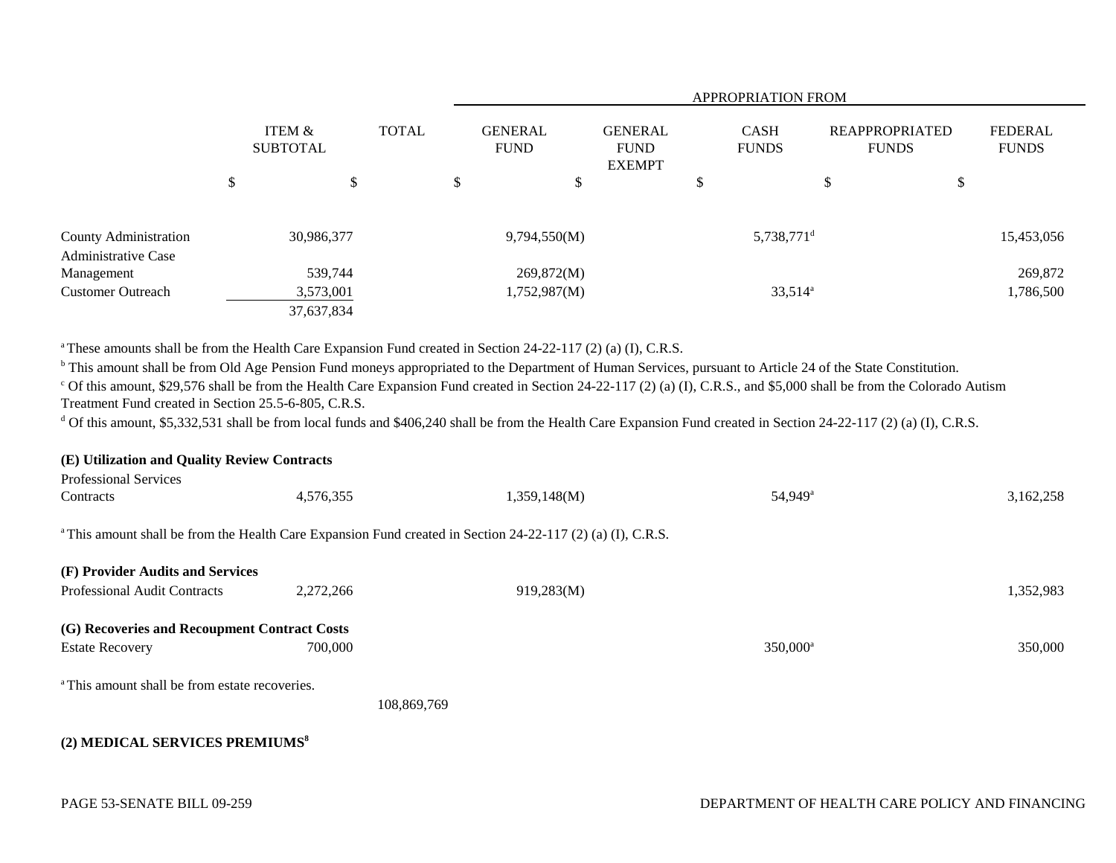|                                          |                                      |              |    |                               | <b>APPROPRIATION FROM</b> |                                                |  |   |                                       |   |                                |            |  |  |
|------------------------------------------|--------------------------------------|--------------|----|-------------------------------|---------------------------|------------------------------------------------|--|---|---------------------------------------|---|--------------------------------|------------|--|--|
|                                          | <b>ITEM &amp;</b><br><b>SUBTOTAL</b> | <b>TOTAL</b> |    | <b>GENERAL</b><br><b>FUND</b> |                           | <b>GENERAL</b><br><b>FUND</b><br><b>EXEMPT</b> |  |   | <b>REAPPROPRIATED</b><br><b>FUNDS</b> |   | <b>FEDERAL</b><br><b>FUNDS</b> |            |  |  |
|                                          | \$                                   |              | \$ |                               | \$                        | \$                                             |  | D |                                       | Φ | \$                             |            |  |  |
| County Administration                    |                                      | 30,986,377   |    |                               | 9,794,550(M)              |                                                |  |   | $5,738,771$ <sup>d</sup>              |   |                                | 15,453,056 |  |  |
| <b>Administrative Case</b><br>Management |                                      | 539,744      |    |                               | 269,872(M)                |                                                |  |   |                                       |   |                                | 269,872    |  |  |
| <b>Customer Outreach</b>                 |                                      | 3,573,001    |    |                               | 1,752,987(M)              |                                                |  |   | $33,514^a$                            |   |                                | 1,786,500  |  |  |
|                                          |                                      | 37,637,834   |    |                               |                           |                                                |  |   |                                       |   |                                |            |  |  |

<sup>a</sup> These amounts shall be from the Health Care Expansion Fund created in Section 24-22-117 (2) (a) (I), C.R.S.

<sup>b</sup> This amount shall be from Old Age Pension Fund moneys appropriated to the Department of Human Services, pursuant to Article 24 of the State Constitution.

<sup>c</sup> Of this amount, \$29,576 shall be from the Health Care Expansion Fund created in Section 24-22-117 (2) (a) (I), C.R.S., and \$5,000 shall be from the Colorado Autism Treatment Fund created in Section 25.5-6-805, C.R.S.

<sup>d</sup> Of this amount, \$5,332,531 shall be from local funds and \$406,240 shall be from the Health Care Expansion Fund created in Section 24-22-117 (2) (a) (I), C.R.S.

| (E) Utilization and Quality Review Contracts                                                                           |             |              |                        |           |
|------------------------------------------------------------------------------------------------------------------------|-------------|--------------|------------------------|-----------|
| <b>Professional Services</b>                                                                                           |             |              |                        |           |
| Contracts                                                                                                              | 4,576,355   | 1,359,148(M) | 54,949 <sup>a</sup>    | 3,162,258 |
| <sup>a</sup> This amount shall be from the Health Care Expansion Fund created in Section 24-22-117 (2) (a) (I), C.R.S. |             |              |                        |           |
| (F) Provider Audits and Services                                                                                       |             |              |                        |           |
| <b>Professional Audit Contracts</b>                                                                                    | 2,272,266   | 919,283(M)   |                        | 1,352,983 |
| (G) Recoveries and Recoupment Contract Costs<br><b>Estate Recovery</b>                                                 | 700,000     |              | $350,000$ <sup>a</sup> | 350,000   |
| <sup>a</sup> This amount shall be from estate recoveries.                                                              |             |              |                        |           |
|                                                                                                                        | 108,869,769 |              |                        |           |
| (2) MEDICAL SERVICES PREMIUMS <sup>8</sup>                                                                             |             |              |                        |           |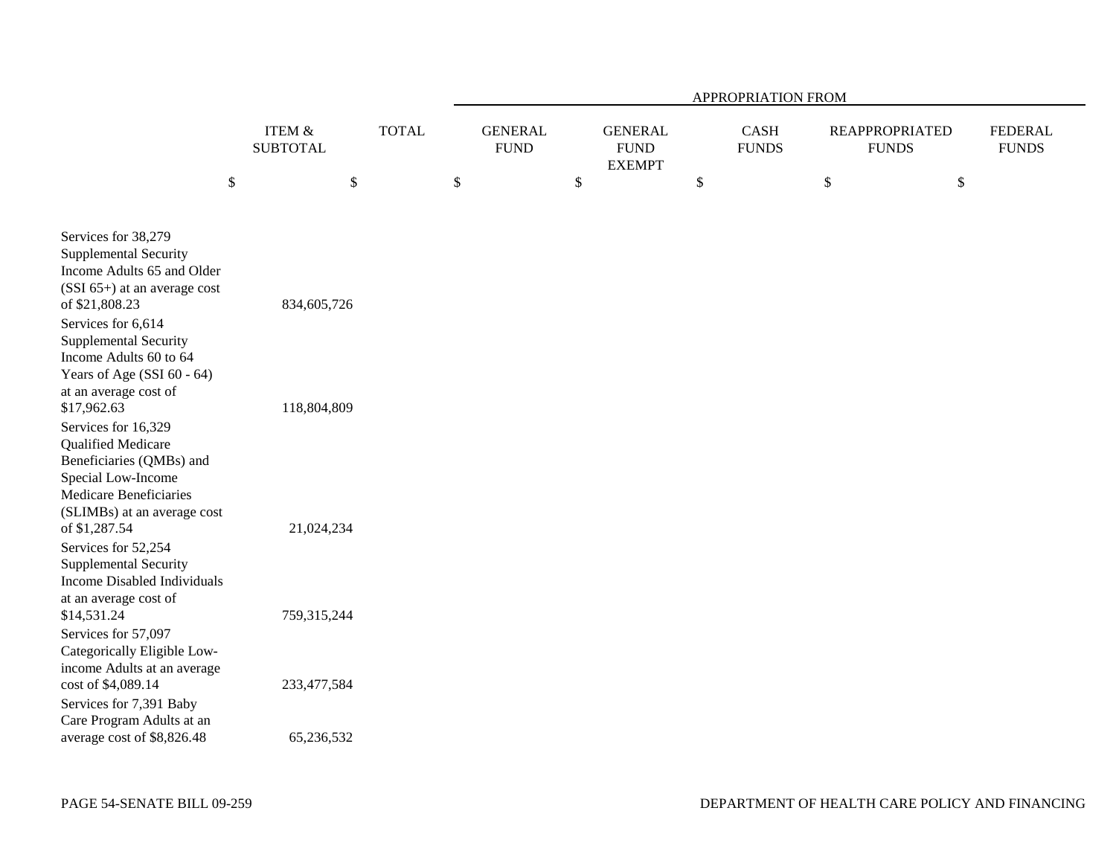|                                                                                                                                                                              |                                      |              | APPROPRIATION FROM |                               |                           |                                                |    |                             |    |                                       |                                |  |  |
|------------------------------------------------------------------------------------------------------------------------------------------------------------------------------|--------------------------------------|--------------|--------------------|-------------------------------|---------------------------|------------------------------------------------|----|-----------------------------|----|---------------------------------------|--------------------------------|--|--|
|                                                                                                                                                                              | <b>ITEM &amp;</b><br><b>SUBTOTAL</b> | <b>TOTAL</b> |                    | <b>GENERAL</b><br><b>FUND</b> |                           | <b>GENERAL</b><br><b>FUND</b><br><b>EXEMPT</b> |    | <b>CASH</b><br><b>FUNDS</b> |    | <b>REAPPROPRIATED</b><br><b>FUNDS</b> | <b>FEDERAL</b><br><b>FUNDS</b> |  |  |
| $\boldsymbol{\mathsf{S}}$                                                                                                                                                    | \$                                   |              | \$                 |                               | $\boldsymbol{\mathsf{S}}$ |                                                | \$ |                             | \$ | \$                                    |                                |  |  |
| Services for 38,279<br><b>Supplemental Security</b><br>Income Adults 65 and Older<br>$(SSI 65+)$ at an average cost<br>of \$21,808.23                                        | 834,605,726                          |              |                    |                               |                           |                                                |    |                             |    |                                       |                                |  |  |
| Services for 6,614<br><b>Supplemental Security</b><br>Income Adults 60 to 64<br>Years of Age (SSI 60 - 64)<br>at an average cost of<br>\$17,962.63                           | 118,804,809                          |              |                    |                               |                           |                                                |    |                             |    |                                       |                                |  |  |
| Services for 16,329<br>Qualified Medicare<br>Beneficiaries (QMBs) and<br>Special Low-Income<br><b>Medicare Beneficiaries</b><br>(SLIMBs) at an average cost<br>of \$1,287.54 | 21,024,234                           |              |                    |                               |                           |                                                |    |                             |    |                                       |                                |  |  |
| Services for 52,254<br><b>Supplemental Security</b><br><b>Income Disabled Individuals</b><br>at an average cost of<br>\$14,531.24                                            | 759,315,244                          |              |                    |                               |                           |                                                |    |                             |    |                                       |                                |  |  |
| Services for 57,097<br>Categorically Eligible Low-<br>income Adults at an average<br>cost of \$4,089.14<br>Services for 7,391 Baby                                           | 233,477,584                          |              |                    |                               |                           |                                                |    |                             |    |                                       |                                |  |  |
| Care Program Adults at an<br>average cost of \$8,826.48                                                                                                                      | 65,236,532                           |              |                    |                               |                           |                                                |    |                             |    |                                       |                                |  |  |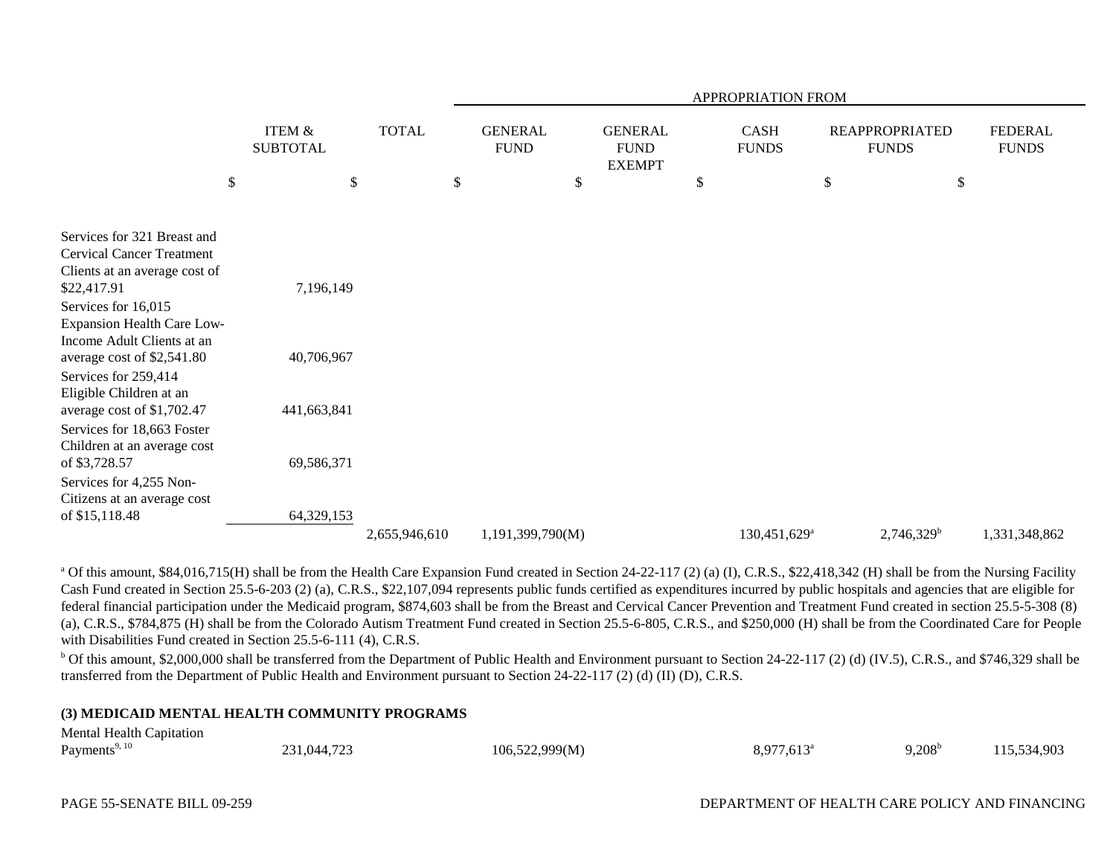|                                                 |                                      |               | APPROPRIATION FROM |                               |    |                                                |              |                                                                      |    |                                |               |  |
|-------------------------------------------------|--------------------------------------|---------------|--------------------|-------------------------------|----|------------------------------------------------|--------------|----------------------------------------------------------------------|----|--------------------------------|---------------|--|
|                                                 | <b>ITEM &amp;</b><br><b>SUBTOTAL</b> | <b>TOTAL</b>  |                    | <b>GENERAL</b><br><b>FUND</b> |    | <b>GENERAL</b><br><b>FUND</b><br><b>EXEMPT</b> |              | <b>CASH</b><br><b>REAPPROPRIATED</b><br><b>FUNDS</b><br><b>FUNDS</b> |    | <b>FEDERAL</b><br><b>FUNDS</b> |               |  |
|                                                 | \$<br>$\mathcal{S}$                  |               | \$                 |                               | \$ |                                                | $\mathbb{S}$ |                                                                      | \$ | \$                             |               |  |
| Services for 321 Breast and                     |                                      |               |                    |                               |    |                                                |              |                                                                      |    |                                |               |  |
| <b>Cervical Cancer Treatment</b>                |                                      |               |                    |                               |    |                                                |              |                                                                      |    |                                |               |  |
| Clients at an average cost of                   |                                      |               |                    |                               |    |                                                |              |                                                                      |    |                                |               |  |
| \$22,417.91                                     | 7,196,149                            |               |                    |                               |    |                                                |              |                                                                      |    |                                |               |  |
| Services for 16,015                             |                                      |               |                    |                               |    |                                                |              |                                                                      |    |                                |               |  |
| <b>Expansion Health Care Low-</b>               |                                      |               |                    |                               |    |                                                |              |                                                                      |    |                                |               |  |
| Income Adult Clients at an                      |                                      |               |                    |                               |    |                                                |              |                                                                      |    |                                |               |  |
| average cost of \$2,541.80                      | 40,706,967                           |               |                    |                               |    |                                                |              |                                                                      |    |                                |               |  |
| Services for 259,414<br>Eligible Children at an |                                      |               |                    |                               |    |                                                |              |                                                                      |    |                                |               |  |
| average cost of \$1,702.47                      | 441,663,841                          |               |                    |                               |    |                                                |              |                                                                      |    |                                |               |  |
| Services for 18,663 Foster                      |                                      |               |                    |                               |    |                                                |              |                                                                      |    |                                |               |  |
| Children at an average cost                     |                                      |               |                    |                               |    |                                                |              |                                                                      |    |                                |               |  |
| of \$3,728.57                                   | 69,586,371                           |               |                    |                               |    |                                                |              |                                                                      |    |                                |               |  |
| Services for 4,255 Non-                         |                                      |               |                    |                               |    |                                                |              |                                                                      |    |                                |               |  |
| Citizens at an average cost                     |                                      |               |                    |                               |    |                                                |              |                                                                      |    |                                |               |  |
| of \$15,118.48                                  | 64,329,153                           |               |                    |                               |    |                                                |              |                                                                      |    |                                |               |  |
|                                                 |                                      | 2,655,946,610 |                    | 1,191,399,790(M)              |    |                                                |              | 130,451,629 <sup>a</sup>                                             |    | $2,746,329^b$                  | 1,331,348,862 |  |

<sup>a</sup> Of this amount, \$84,016,715(H) shall be from the Health Care Expansion Fund created in Section 24-22-117 (2) (a) (I), C.R.S., \$22,418,342 (H) shall be from the Nursing Facility Cash Fund created in Section 25.5-6-203 (2) (a), C.R.S., \$22,107,094 represents public funds certified as expenditures incurred by public hospitals and agencies that are eligible for federal financial participation under the Medicaid program, \$874,603 shall be from the Breast and Cervical Cancer Prevention and Treatment Fund created in section 25.5-5-308 (8) (a), C.R.S., \$784,875 (H) shall be from the Colorado Autism Treatment Fund created in Section 25.5-6-805, C.R.S., and \$250,000 (H) shall be from the Coordinated Care for People with Disabilities Fund created in Section 25.5-6-111 (4), C.R.S.

 $b$  Of this amount, \$2,000,000 shall be transferred from the Department of Public Health and Environment pursuant to Section 24-22-117 (2) (d) (IV.5), C.R.S., and \$746,329 shall be transferred from the Department of Public Health and Environment pursuant to Section 24-22-117 (2) (d) (II) (D), C.R.S.

#### **(3) MEDICAID MENTAL HEALTH COMMUNITY PROGRAMS**

| <b>Mental Health Capitation</b> |             |                |                     |                 |             |
|---------------------------------|-------------|----------------|---------------------|-----------------|-------------|
| Payments <sup>9, 10</sup>       | 231,044,723 | 106,522,999(M) | $8,977,613^{\circ}$ | $9.208^{\rm b}$ | 115,534,903 |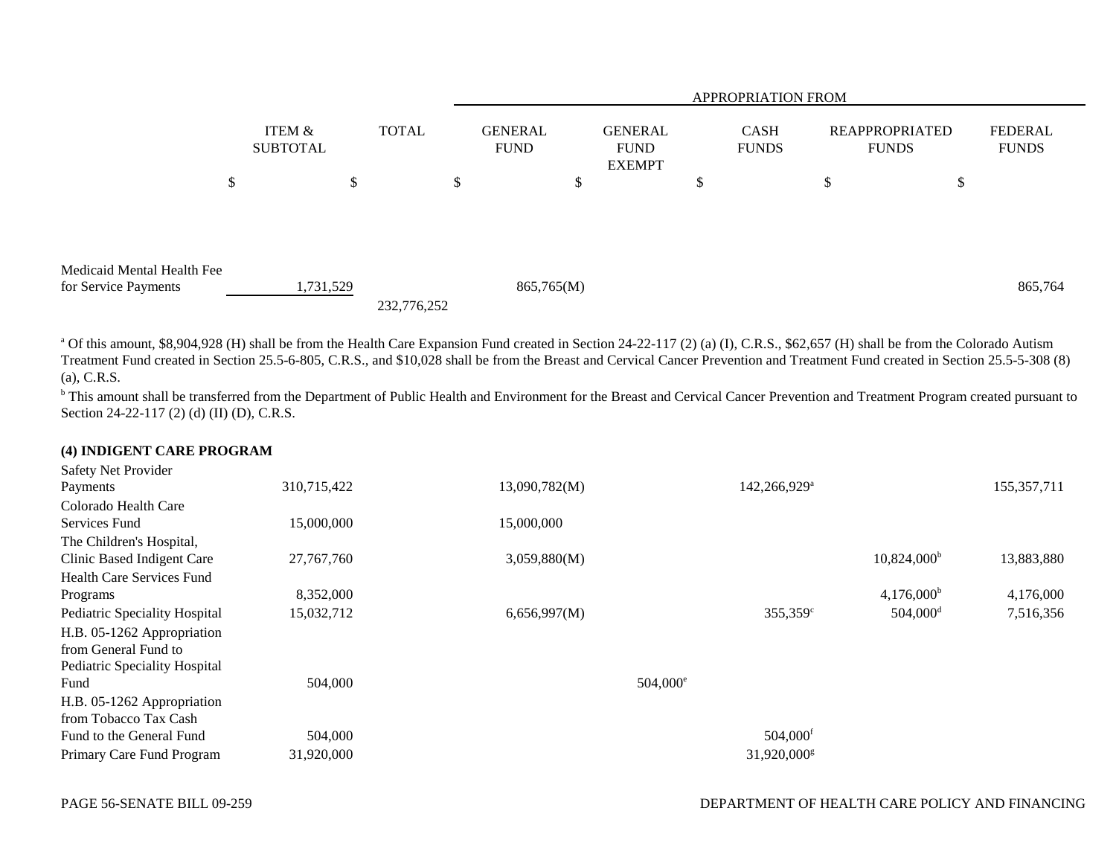|                            |                           |              |    | <b>APPROPRIATION FROM</b>     |                                                |   |                             |    |                                |                                |
|----------------------------|---------------------------|--------------|----|-------------------------------|------------------------------------------------|---|-----------------------------|----|--------------------------------|--------------------------------|
|                            | ITEM &<br><b>SUBTOTAL</b> | <b>TOTAL</b> |    | <b>GENERAL</b><br><b>FUND</b> | <b>GENERAL</b><br><b>FUND</b><br><b>EXEMPT</b> |   | <b>CASH</b><br><b>FUNDS</b> |    | REAPPROPRIATED<br><b>FUNDS</b> | <b>FEDERAL</b><br><b>FUNDS</b> |
|                            | \$                        | \$           | \$ | Φ                             |                                                | Φ |                             | \$ | \$                             |                                |
|                            |                           |              |    |                               |                                                |   |                             |    |                                |                                |
|                            |                           |              |    |                               |                                                |   |                             |    |                                |                                |
| Medicaid Mental Health Fee |                           |              |    |                               |                                                |   |                             |    |                                |                                |
| for Service Payments       | 1,731,529                 | 232,776,252  |    | 865,765(M)                    |                                                |   |                             |    |                                | 865,764                        |

<sup>a</sup> Of this amount, \$8,904,928 (H) shall be from the Health Care Expansion Fund created in Section 24-22-117 (2) (a) (I), C.R.S., \$62,657 (H) shall be from the Colorado Autism Treatment Fund created in Section 25.5-6-805, C.R.S., and \$10,028 shall be from the Breast and Cervical Cancer Prevention and Treatment Fund created in Section 25.5-5-308 (8) (a), C.R.S.

<sup>b</sup> This amount shall be transferred from the Department of Public Health and Environment for the Breast and Cervical Cancer Prevention and Treatment Program created pursuant to Section 24-22-117 (2) (d) (II) (D), C.R.S.

#### **(4) INDIGENT CARE PROGRAM**

| Safety Net Provider<br>Payments  | 310,715,422  | 13,090,782(M) | 142,266,929 <sup>a</sup> |                        | 155, 357, 711 |
|----------------------------------|--------------|---------------|--------------------------|------------------------|---------------|
| Colorado Health Care             |              |               |                          |                        |               |
| Services Fund                    | 15,000,000   | 15,000,000    |                          |                        |               |
| The Children's Hospital,         |              |               |                          |                        |               |
| Clinic Based Indigent Care       | 27, 767, 760 | 3,059,880(M)  |                          | $10,824,000^{\rm b}$   | 13,883,880    |
| <b>Health Care Services Fund</b> |              |               |                          |                        |               |
| Programs                         | 8,352,000    |               |                          | $4,176,000^{\rm b}$    | 4,176,000     |
| Pediatric Speciality Hospital    | 15,032,712   | 6,656,997(M)  | $355,359^{\circ}$        | $504,000$ <sup>d</sup> | 7,516,356     |
| H.B. 05-1262 Appropriation       |              |               |                          |                        |               |
| from General Fund to             |              |               |                          |                        |               |
| Pediatric Speciality Hospital    |              |               |                          |                        |               |
| Fund                             | 504,000      |               | $504,000^{\circ}$        |                        |               |
| H.B. 05-1262 Appropriation       |              |               |                          |                        |               |
| from Tobacco Tax Cash            |              |               |                          |                        |               |
| Fund to the General Fund         | 504,000      |               | 504,000 <sup>f</sup>     |                        |               |
| Primary Care Fund Program        | 31,920,000   |               | 31,920,000 <sup>g</sup>  |                        |               |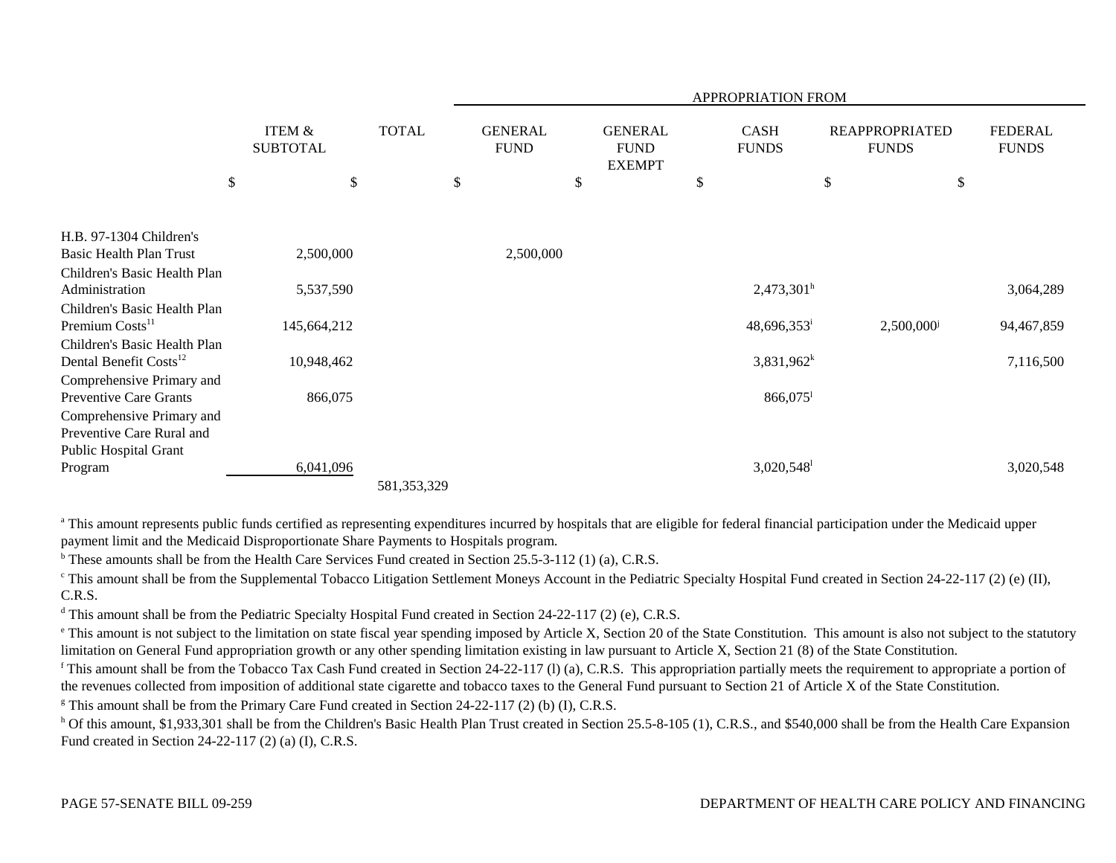|                                                         |                                      |               |                               |                                                | APPROPRIATION FROM          |                                       |                                |
|---------------------------------------------------------|--------------------------------------|---------------|-------------------------------|------------------------------------------------|-----------------------------|---------------------------------------|--------------------------------|
|                                                         | <b>ITEM &amp;</b><br><b>SUBTOTAL</b> | <b>TOTAL</b>  | <b>GENERAL</b><br><b>FUND</b> | <b>GENERAL</b><br><b>FUND</b><br><b>EXEMPT</b> | <b>CASH</b><br><b>FUNDS</b> | <b>REAPPROPRIATED</b><br><b>FUNDS</b> | <b>FEDERAL</b><br><b>FUNDS</b> |
| $\boldsymbol{\mathsf{S}}$                               |                                      | \$            | \$                            | \$                                             | \$                          | \$                                    | \$                             |
|                                                         |                                      |               |                               |                                                |                             |                                       |                                |
| H.B. 97-1304 Children's                                 |                                      |               |                               |                                                |                             |                                       |                                |
| Basic Health Plan Trust<br>Children's Basic Health Plan | 2,500,000                            |               | 2,500,000                     |                                                |                             |                                       |                                |
| Administration                                          | 5,537,590                            |               |                               |                                                | $2,473,301^{\rm h}$         |                                       | 3,064,289                      |
| Children's Basic Health Plan                            |                                      |               |                               |                                                |                             |                                       |                                |
| Premium Costs <sup>11</sup>                             | 145,664,212                          |               |                               |                                                | $48,696,353$ <sup>i</sup>   | 2,500,000 <sup>j</sup>                | 94,467,859                     |
| Children's Basic Health Plan                            |                                      |               |                               |                                                |                             |                                       |                                |
| Dental Benefit Costs <sup>12</sup>                      | 10,948,462                           |               |                               |                                                | $3,831,962^k$               |                                       | 7,116,500                      |
| Comprehensive Primary and                               |                                      |               |                               |                                                |                             |                                       |                                |
| <b>Preventive Care Grants</b>                           | 866,075                              |               |                               |                                                | 866,075                     |                                       |                                |
| Comprehensive Primary and<br>Preventive Care Rural and  |                                      |               |                               |                                                |                             |                                       |                                |
| Public Hospital Grant                                   |                                      |               |                               |                                                |                             |                                       |                                |
| Program                                                 | 6,041,096                            |               |                               |                                                | $3,020,548$ <sup>1</sup>    |                                       | 3,020,548                      |
|                                                         |                                      | 581, 353, 329 |                               |                                                |                             |                                       |                                |

<sup>a</sup> This amount represents public funds certified as representing expenditures incurred by hospitals that are eligible for federal financial participation under the Medicaid upper payment limit and the Medicaid Disproportionate Share Payments to Hospitals program.

 $b$  These amounts shall be from the Health Care Services Fund created in Section 25.5-3-112 (1) (a), C.R.S.

<sup>c</sup> This amount shall be from the Supplemental Tobacco Litigation Settlement Moneys Account in the Pediatric Specialty Hospital Fund created in Section 24-22-117 (2) (e) (II), C.R.S.

<sup>d</sup> This amount shall be from the Pediatric Specialty Hospital Fund created in Section 24-22-117 (2) (e), C.R.S.

<sup>e</sup> This amount is not subject to the limitation on state fiscal year spending imposed by Article X, Section 20 of the State Constitution. This amount is also not subject to the statutory limitation on General Fund appropriation growth or any other spending limitation existing in law pursuant to Article X, Section 21 (8) of the State Constitution.

<sup>f</sup> This amount shall be from the Tobacco Tax Cash Fund created in Section 24-22-117 (1) (a), C.R.S. This appropriation partially meets the requirement to appropriate a portion of the revenues collected from imposition of additional state cigarette and tobacco taxes to the General Fund pursuant to Section 21 of Article X of the State Constitution.

<sup>g</sup> This amount shall be from the Primary Care Fund created in Section 24-22-117 (2) (b) (I), C.R.S.

<sup>h</sup> Of this amount, \$1,933,301 shall be from the Children's Basic Health Plan Trust created in Section 25.5-8-105 (1), C.R.S., and \$540,000 shall be from the Health Care Expansion Fund created in Section 24-22-117 (2) (a) (I), C.R.S.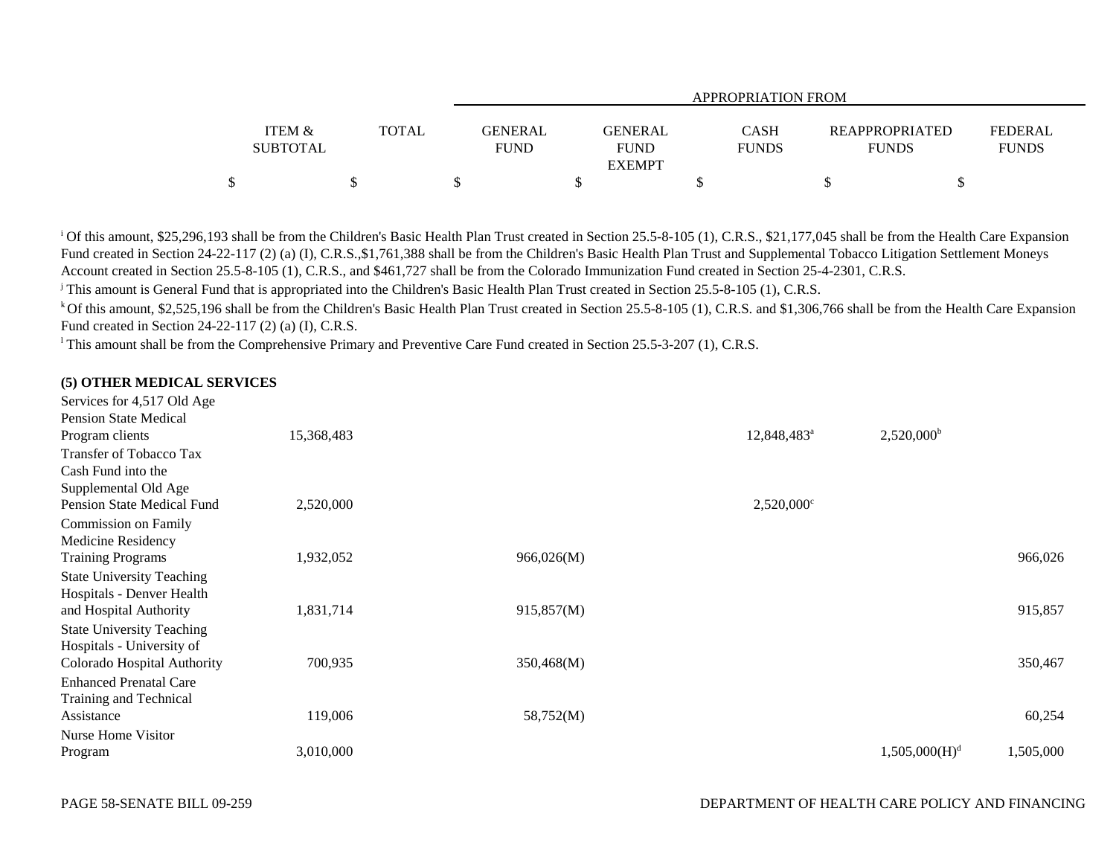|                                      |       |                               |                                         | <b>APPROPRIATION FROM</b> |                                       |                                |
|--------------------------------------|-------|-------------------------------|-----------------------------------------|---------------------------|---------------------------------------|--------------------------------|
| <b>ITEM &amp;</b><br><b>SUBTOTAL</b> | TOTAL | <b>GENERAL</b><br><b>FUND</b> | GENERAL<br><b>FUND</b><br><b>EXEMPT</b> | CASH<br><b>FUNDS</b>      | <b>REAPPROPRIATED</b><br><b>FUNDS</b> | <b>FEDERAL</b><br><b>FUNDS</b> |
|                                      |       |                               |                                         |                           |                                       |                                |

<sup>i</sup> Of this amount, \$25,296,193 shall be from the Children's Basic Health Plan Trust created in Section 25.5-8-105 (1), C.R.S., \$21,177,045 shall be from the Health Care Expansion Fund created in Section 24-22-117 (2) (a) (I), C.R.S.,\$1,761,388 shall be from the Children's Basic Health Plan Trust and Supplemental Tobacco Litigation Settlement Moneys Account created in Section 25.5-8-105 (1), C.R.S., and \$461,727 shall be from the Colorado Immunization Fund created in Section 25-4-2301, C.R.S.

j This amount is General Fund that is appropriated into the Children's Basic Health Plan Trust created in Section 25.5-8-105 (1), C.R.S.

<sup>k</sup> Of this amount, \$2,525,196 shall be from the Children's Basic Health Plan Trust created in Section 25.5-8-105 (1), C.R.S. and \$1,306,766 shall be from the Health Care Expansion Fund created in Section 24-22-117 (2) (a) (I), C.R.S.

<sup>1</sup> This amount shall be from the Comprehensive Primary and Preventive Care Fund created in Section 25.5-3-207 (1), C.R.S.

### **(5) OTHER MEDICAL SERVICES**

| Services for 4,517 Old Age        |            |            |                          |                           |           |
|-----------------------------------|------------|------------|--------------------------|---------------------------|-----------|
| <b>Pension State Medical</b>      |            |            |                          |                           |           |
| Program clients                   | 15,368,483 |            | 12,848,483 <sup>a</sup>  | $2,520,000^{\rm b}$       |           |
| Transfer of Tobacco Tax           |            |            |                          |                           |           |
| Cash Fund into the                |            |            |                          |                           |           |
| Supplemental Old Age              |            |            |                          |                           |           |
| <b>Pension State Medical Fund</b> | 2,520,000  |            | $2,520,000$ <sup>c</sup> |                           |           |
| <b>Commission on Family</b>       |            |            |                          |                           |           |
| Medicine Residency                |            |            |                          |                           |           |
| <b>Training Programs</b>          | 1,932,052  | 966,026(M) |                          |                           | 966,026   |
| <b>State University Teaching</b>  |            |            |                          |                           |           |
| Hospitals - Denver Health         |            |            |                          |                           |           |
| and Hospital Authority            | 1,831,714  | 915,857(M) |                          |                           | 915,857   |
| <b>State University Teaching</b>  |            |            |                          |                           |           |
| Hospitals - University of         |            |            |                          |                           |           |
| Colorado Hospital Authority       | 700,935    | 350,468(M) |                          |                           | 350,467   |
| <b>Enhanced Prenatal Care</b>     |            |            |                          |                           |           |
| Training and Technical            |            |            |                          |                           |           |
| Assistance                        | 119,006    | 58,752(M)  |                          |                           | 60,254    |
| Nurse Home Visitor                |            |            |                          |                           |           |
| Program                           | 3,010,000  |            |                          | 1,505,000(H) <sup>d</sup> | 1,505,000 |
|                                   |            |            |                          |                           |           |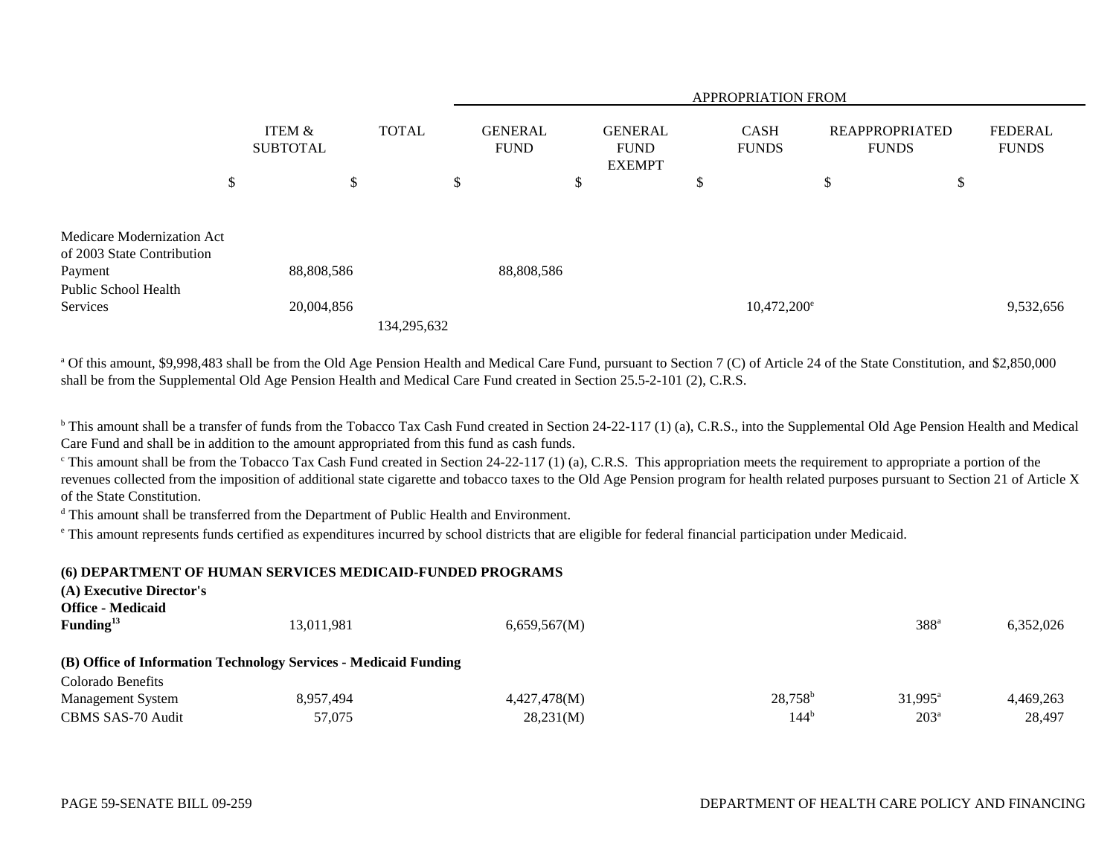|                                                                     |                           |               |              | <b>APPROPRIATION FROM</b> |                               |    |                                                |    |                             |                                       |    |                                |  |
|---------------------------------------------------------------------|---------------------------|---------------|--------------|---------------------------|-------------------------------|----|------------------------------------------------|----|-----------------------------|---------------------------------------|----|--------------------------------|--|
|                                                                     | ITEM &<br><b>SUBTOTAL</b> |               | <b>TOTAL</b> |                           | <b>GENERAL</b><br><b>FUND</b> |    | <b>GENERAL</b><br><b>FUND</b><br><b>EXEMPT</b> |    | <b>CASH</b><br><b>FUNDS</b> | <b>REAPPROPRIATED</b><br><b>FUNDS</b> |    | <b>FEDERAL</b><br><b>FUNDS</b> |  |
|                                                                     | \$                        | <sup>\$</sup> |              | \$                        |                               | \$ |                                                | ъD |                             | \$                                    | \$ |                                |  |
| Medicare Modernization Act<br>of 2003 State Contribution<br>Payment | 88,808,586                |               |              |                           | 88,808,586                    |    |                                                |    |                             |                                       |    |                                |  |
| Public School Health<br>Services                                    | 20,004,856                |               | 134,295,632  |                           |                               |    |                                                |    | $10,472,200^{\circ}$        |                                       |    | 9,532,656                      |  |

<sup>a</sup> Of this amount, \$9,998,483 shall be from the Old Age Pension Health and Medical Care Fund, pursuant to Section 7 (C) of Article 24 of the State Constitution, and \$2,850,000 shall be from the Supplemental Old Age Pension Health and Medical Care Fund created in Section 25.5-2-101 (2), C.R.S.

<sup>b</sup> This amount shall be a transfer of funds from the Tobacco Tax Cash Fund created in Section 24-22-117 (1) (a), C.R.S., into the Supplemental Old Age Pension Health and Medical Care Fund and shall be in addition to the amount appropriated from this fund as cash funds.

 $\degree$ This amount shall be from the Tobacco Tax Cash Fund created in Section 24-22-117 (1) (a), C.R.S. This appropriation meets the requirement to appropriate a portion of the revenues collected from the imposition of additional state cigarette and tobacco taxes to the Old Age Pension program for health related purposes pursuant to Section 21 of Article X of the State Constitution.

d This amount shall be transferred from the Department of Public Health and Environment.

e This amount represents funds certified as expenditures incurred by school districts that are eligible for federal financial participation under Medicaid.

#### **(6) DEPARTMENT OF HUMAN SERVICES MEDICAID-FUNDED PROGRAMS**

| (A) Executive Director's<br><b>Office - Medicaid</b><br>Funding <sup>13</sup> | 13,011,981                                                       | 6,659,567(M) |            | 388 <sup>a</sup> | 6,352,026 |
|-------------------------------------------------------------------------------|------------------------------------------------------------------|--------------|------------|------------------|-----------|
|                                                                               |                                                                  |              |            |                  |           |
|                                                                               | (B) Office of Information Technology Services - Medicaid Funding |              |            |                  |           |
| Colorado Benefits                                                             |                                                                  |              |            |                  |           |
| <b>Management System</b>                                                      | 8,957,494                                                        | 4,427,478(M) | $28,758^b$ | $31.995^{\circ}$ | 4.469.263 |
| CBMS SAS-70 Audit                                                             | 57,075                                                           | 28,231(M)    | $144^{b}$  | 203 <sup>a</sup> | 28,497    |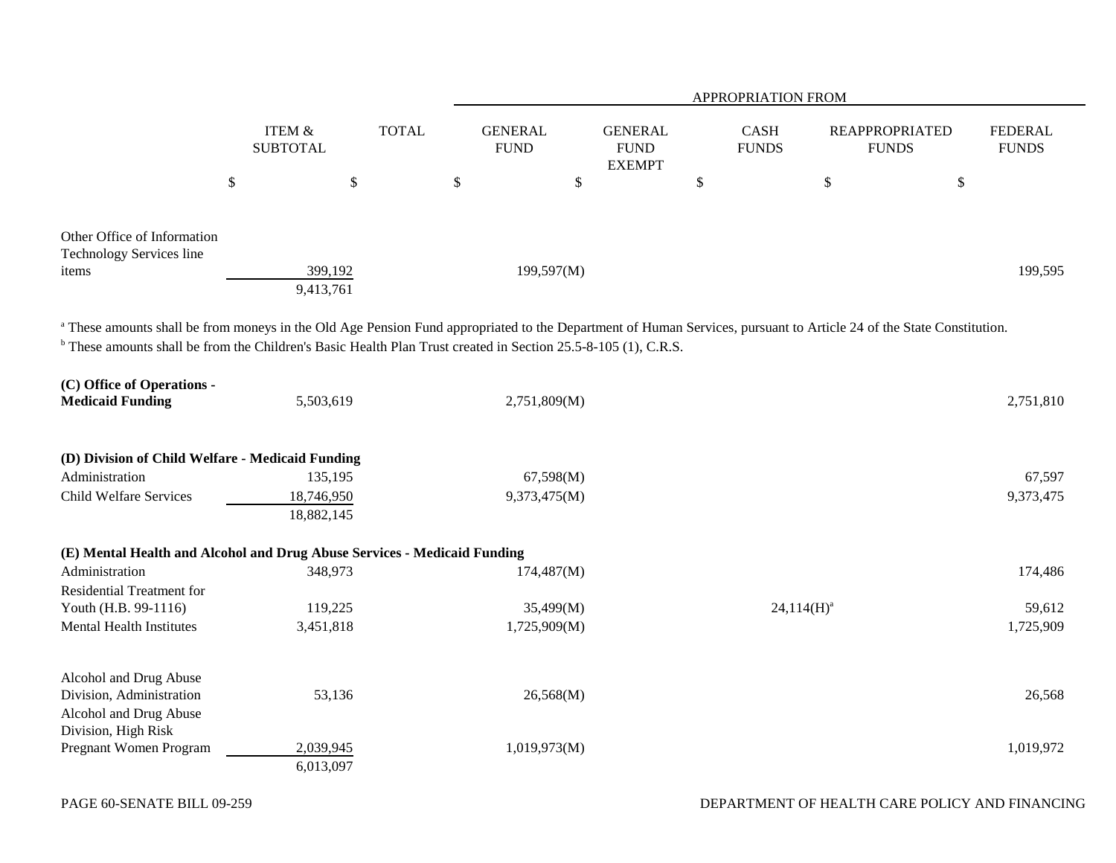|                                                                                                                  |                                      |              | APPROPRIATION FROM            |                                                |                             |                                                                                                                                                                                 |                                |  |  |  |  |
|------------------------------------------------------------------------------------------------------------------|--------------------------------------|--------------|-------------------------------|------------------------------------------------|-----------------------------|---------------------------------------------------------------------------------------------------------------------------------------------------------------------------------|--------------------------------|--|--|--|--|
|                                                                                                                  | <b>ITEM &amp;</b><br><b>SUBTOTAL</b> | <b>TOTAL</b> | <b>GENERAL</b><br><b>FUND</b> | <b>GENERAL</b><br><b>FUND</b><br><b>EXEMPT</b> | <b>CASH</b><br><b>FUNDS</b> | <b>REAPPROPRIATED</b><br><b>FUNDS</b>                                                                                                                                           | <b>FEDERAL</b><br><b>FUNDS</b> |  |  |  |  |
|                                                                                                                  | $\$$                                 | \$           | \$                            | $\boldsymbol{\mathsf{S}}$                      | $\mathbb{S}$                | \$<br>$\$$                                                                                                                                                                      |                                |  |  |  |  |
| Other Office of Information<br><b>Technology Services line</b><br>items                                          | 399,192<br>9,413,761                 |              | 199,597(M)                    |                                                |                             |                                                                                                                                                                                 | 199,595                        |  |  |  |  |
| $b$ These amounts shall be from the Children's Basic Health Plan Trust created in Section 25.5-8-105 (1), C.R.S. |                                      |              |                               |                                                |                             | <sup>a</sup> These amounts shall be from moneys in the Old Age Pension Fund appropriated to the Department of Human Services, pursuant to Article 24 of the State Constitution. |                                |  |  |  |  |
| (C) Office of Operations -<br><b>Medicaid Funding</b>                                                            | 5,503,619                            |              | 2,751,809(M)                  |                                                |                             |                                                                                                                                                                                 | 2,751,810                      |  |  |  |  |
| (D) Division of Child Welfare - Medicaid Funding                                                                 |                                      |              |                               |                                                |                             |                                                                                                                                                                                 |                                |  |  |  |  |
| Administration                                                                                                   | 135,195                              |              | 67,598(M)                     |                                                |                             |                                                                                                                                                                                 | 67,597                         |  |  |  |  |
| Child Welfare Services                                                                                           | 18,746,950<br>18,882,145             |              | 9,373,475(M)                  |                                                |                             |                                                                                                                                                                                 | 9,373,475                      |  |  |  |  |
| (E) Mental Health and Alcohol and Drug Abuse Services - Medicaid Funding                                         |                                      |              |                               |                                                |                             |                                                                                                                                                                                 |                                |  |  |  |  |
| Administration                                                                                                   | 348,973                              |              | 174,487(M)                    |                                                |                             |                                                                                                                                                                                 | 174,486                        |  |  |  |  |
| Residential Treatment for                                                                                        |                                      |              |                               |                                                |                             |                                                                                                                                                                                 |                                |  |  |  |  |
| Youth (H.B. 99-1116)                                                                                             | 119,225                              |              | 35,499(M)                     |                                                |                             | $24,114(H)^a$                                                                                                                                                                   | 59,612                         |  |  |  |  |
| <b>Mental Health Institutes</b>                                                                                  | 3,451,818                            |              | 1,725,909(M)                  |                                                |                             |                                                                                                                                                                                 | 1,725,909                      |  |  |  |  |
| Alcohol and Drug Abuse<br>Division, Administration<br>Alcohol and Drug Abuse<br>Division, High Risk              | 53,136                               |              | 26,568(M)                     |                                                |                             |                                                                                                                                                                                 | 26,568                         |  |  |  |  |
| Pregnant Women Program                                                                                           | 2,039,945                            |              | 1,019,973(M)                  |                                                |                             |                                                                                                                                                                                 | 1,019,972                      |  |  |  |  |
|                                                                                                                  | 6,013,097                            |              |                               |                                                |                             |                                                                                                                                                                                 |                                |  |  |  |  |

—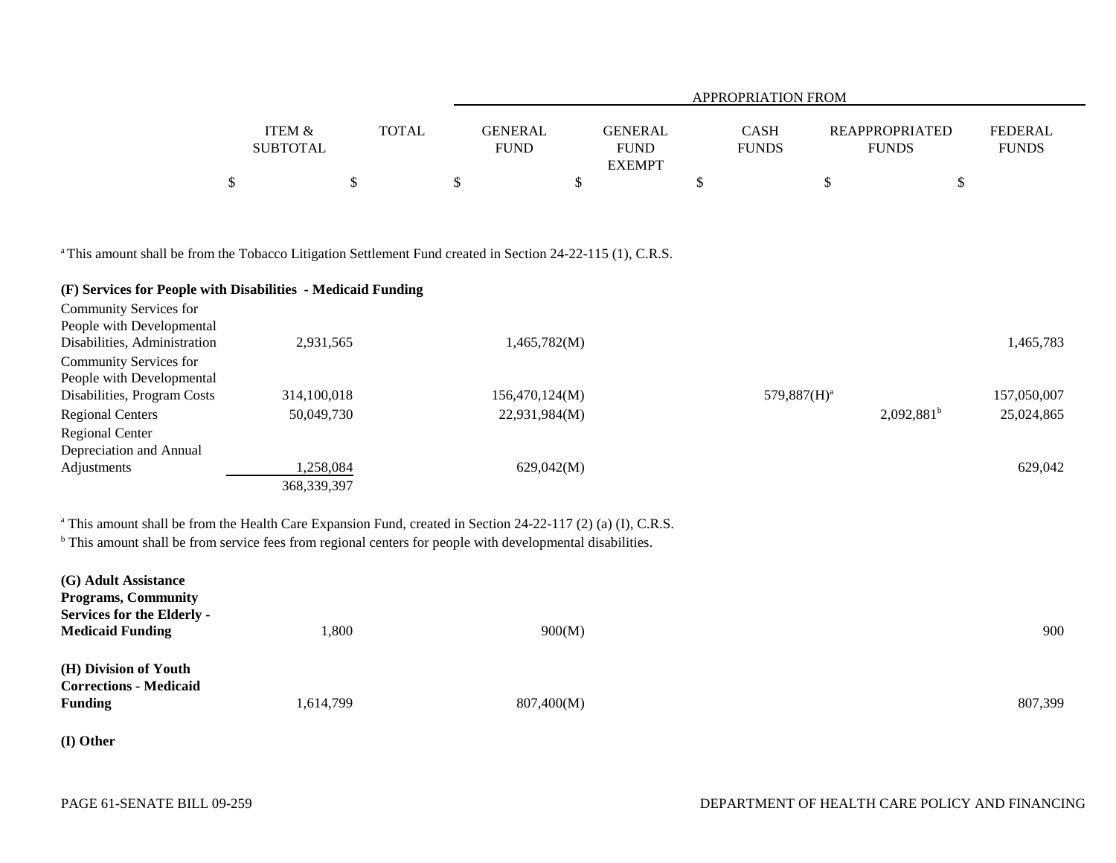|                 |              |             |                               | <b>APPROPRIATION FROM</b> |                |
|-----------------|--------------|-------------|-------------------------------|---------------------------|----------------|
| ITEM &          | <b>TOTAL</b> | GENERAL     | <b>GENERAL</b><br><b>CASH</b> | <b>REAPPROPRIATED</b>     | <b>FEDERAL</b> |
| <b>SUBTOTAL</b> |              | <b>FUND</b> | <b>FUND</b><br><b>FUNDS</b>   | <b>FUNDS</b>              | <b>FUNDS</b>   |
|                 |              |             | <b>EXEMPT</b>                 |                           |                |
| Φ               |              |             |                               |                           |                |

<sup>a</sup> This amount shall be from the Tobacco Litigation Settlement Fund created in Section 24-22-115 (1), C.R.S.

# **(F) Services for People with Disabilities - Medicaid Funding**

| Community Services for       |               |                |                |               |             |
|------------------------------|---------------|----------------|----------------|---------------|-------------|
| People with Developmental    |               |                |                |               |             |
| Disabilities, Administration | 2,931,565     | 1,465,782(M)   |                |               | 465,783     |
| Community Services for       |               |                |                |               |             |
| People with Developmental    |               |                |                |               |             |
| Disabilities, Program Costs  | 314,100,018   | 156,470,124(M) | $579,887(H)^a$ |               | 157,050,007 |
| <b>Regional Centers</b>      | 50,049,730    | 22,931,984(M)  |                | $2,092,881^b$ | 25,024,865  |
| <b>Regional Center</b>       |               |                |                |               |             |
| Depreciation and Annual      |               |                |                |               |             |
| Adjustments                  | 1,258,084     | 629,042(M)     |                |               | 629,042     |
|                              | 368, 339, 397 |                |                |               |             |

<sup>a</sup> This amount shall be from the Health Care Expansion Fund, created in Section 24-22-117 (2) (a) (I), C.R.S.

<sup>b</sup> This amount shall be from service fees from regional centers for people with developmental disabilities.

| (G) Adult Assistance<br><b>Programs, Community</b><br><b>Services for the Elderly -</b> |           |            |         |
|-----------------------------------------------------------------------------------------|-----------|------------|---------|
| <b>Medicaid Funding</b>                                                                 | ,800      | 900(M)     | 900     |
| (H) Division of Youth<br><b>Corrections - Medicaid</b>                                  |           |            |         |
| <b>Funding</b>                                                                          | 1,614,799 | 807,400(M) | 807,399 |

**(I) Other**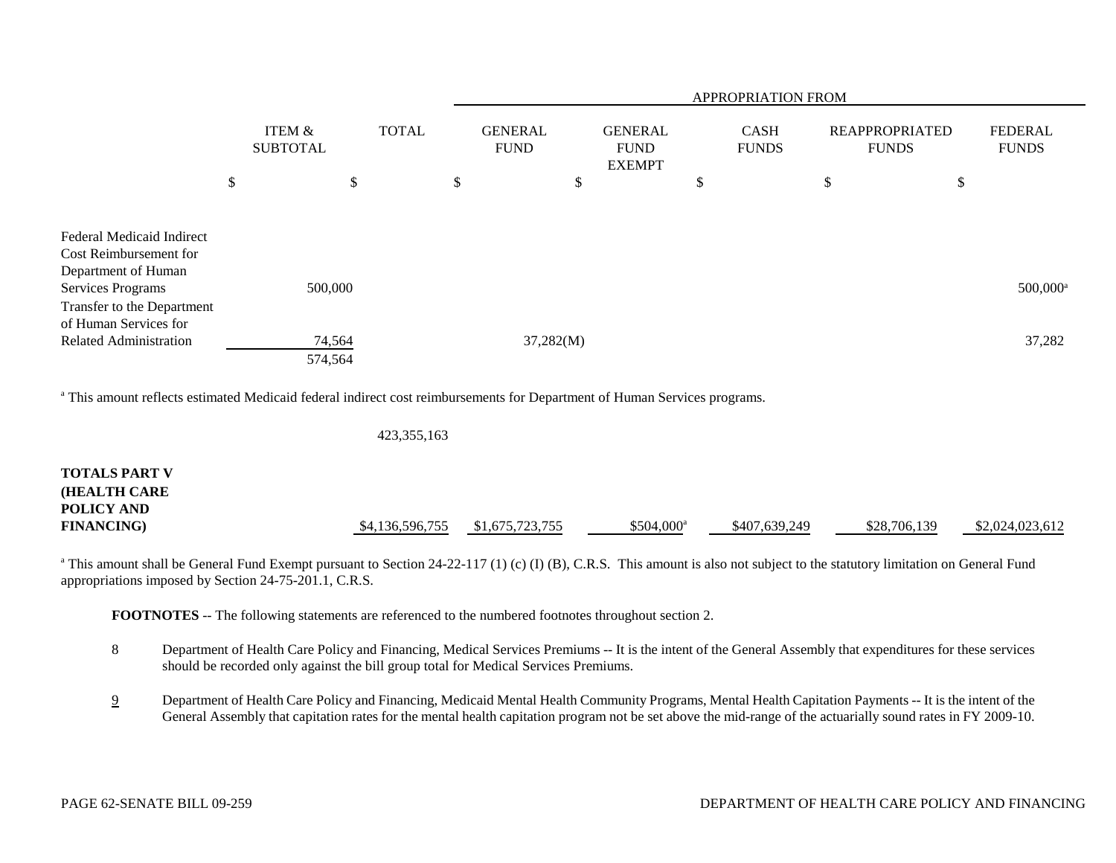|                                                                        |                           |              |  | APPROPRIATION FROM            |   |                                                |   |                             |                                |                           |                                |  |
|------------------------------------------------------------------------|---------------------------|--------------|--|-------------------------------|---|------------------------------------------------|---|-----------------------------|--------------------------------|---------------------------|--------------------------------|--|
|                                                                        | ITEM &<br><b>SUBTOTAL</b> | <b>TOTAL</b> |  | <b>GENERAL</b><br><b>FUND</b> |   | <b>GENERAL</b><br><b>FUND</b><br><b>EXEMPT</b> |   | <b>CASH</b><br><b>FUNDS</b> | REAPPROPRIATED<br><b>FUNDS</b> |                           | <b>FEDERAL</b><br><b>FUNDS</b> |  |
|                                                                        | \$                        | \$           |  | \$                            | Φ |                                                | D |                             | \$                             | $\boldsymbol{\mathsf{S}}$ |                                |  |
| Federal Medicaid Indirect<br>Cost Reimbursement for                    |                           |              |  |                               |   |                                                |   |                             |                                |                           |                                |  |
| Department of Human<br>Services Programs<br>Transfer to the Department | 500,000                   |              |  |                               |   |                                                |   |                             |                                |                           | 500,000 <sup>a</sup>           |  |
| of Human Services for<br>Related Administration                        | 74,564<br>574,564         |              |  | 37,282(M)                     |   |                                                |   |                             |                                |                           | 37,282                         |  |

<sup>a</sup> This amount reflects estimated Medicaid federal indirect cost reimbursements for Department of Human Services programs.

423,355,163

| <b>TOTALS PART V</b> |                 |                 |                    |               |              |                 |
|----------------------|-----------------|-----------------|--------------------|---------------|--------------|-----------------|
| <b>HEALTH CARE</b>   |                 |                 |                    |               |              |                 |
| POLICY AND           |                 |                 |                    |               |              |                 |
| <b>FINANCING</b> )   | \$4,136,596,755 | \$1,675,723,755 | $$504,000^{\circ}$ | \$407,639,249 | \$28,706,139 | \$2,024,023,612 |

<sup>a</sup> This amount shall be General Fund Exempt pursuant to Section 24-22-117 (1) (c) (I) (B), C.R.S. This amount is also not subject to the statutory limitation on General Fund appropriations imposed by Section 24-75-201.1, C.R.S.

**FOOTNOTES** -- The following statements are referenced to the numbered footnotes throughout section 2.

- 8 Department of Health Care Policy and Financing, Medical Services Premiums -- It is the intent of the General Assembly that expenditures for these services should be recorded only against the bill group total for Medical Services Premiums.
- 9 Department of Health Care Policy and Financing, Medicaid Mental Health Community Programs, Mental Health Capitation Payments -- It is the intent of the General Assembly that capitation rates for the mental health capitation program not be set above the mid-range of the actuarially sound rates in FY 2009-10.